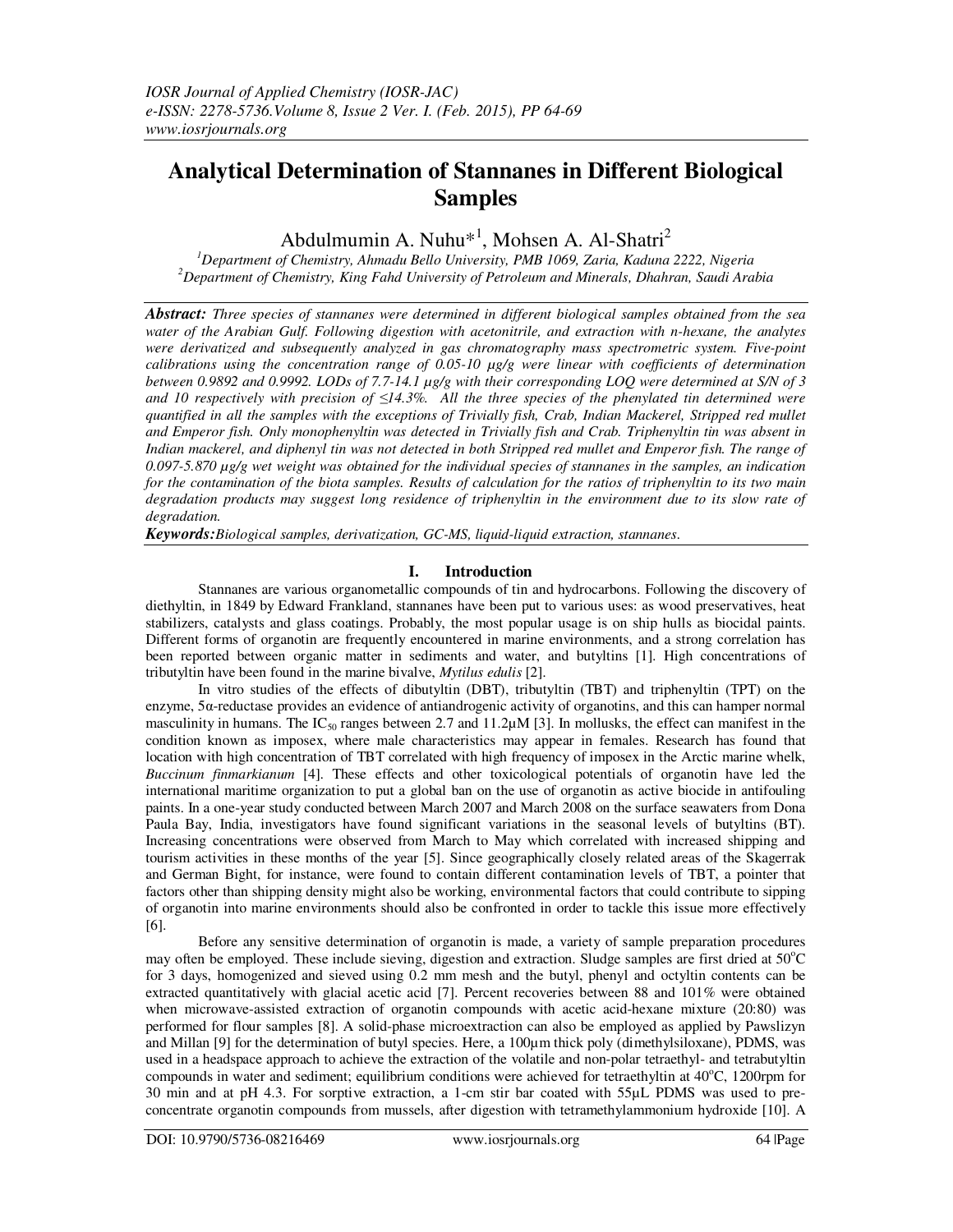# **Analytical Determination of Stannanes in Different Biological Samples**

Abdulmumin A. Nuhu<sup>\*1</sup>, Mohsen A. Al-Shatri<sup>2</sup>

*<sup>1</sup>Department of Chemistry, Ahmadu Bello University, PMB 1069, Zaria, Kaduna 2222, Nigeria <sup>2</sup>Department of Chemistry, King Fahd University of Petroleum and Minerals, Dhahran, Saudi Arabia* 

*Abstract: Three species of stannanes were determined in different biological samples obtained from the sea water of the Arabian Gulf. Following digestion with acetonitrile, and extraction with n-hexane, the analytes were derivatized and subsequently analyzed in gas chromatography mass spectrometric system. Five-point calibrations using the concentration range of 0.05-10 µg/g were linear with coefficients of determination between 0.9892 and 0.9992. LODs of 7.7-14.1 µg/g with their corresponding LOQ were determined at S/N of 3 and 10 respectively with precision of ≤14.3%. All the three species of the phenylated tin determined were quantified in all the samples with the exceptions of Trivially fish, Crab, Indian Mackerel, Stripped red mullet and Emperor fish. Only monophenyltin was detected in Trivially fish and Crab. Triphenyltin tin was absent in Indian mackerel, and diphenyl tin was not detected in both Stripped red mullet and Emperor fish. The range of 0.097-5.870 µg/g wet weight was obtained for the individual species of stannanes in the samples, an indication for the contamination of the biota samples. Results of calculation for the ratios of triphenyltin to its two main degradation products may suggest long residence of triphenyltin in the environment due to its slow rate of degradation.* 

*Keywords:Biological samples, derivatization, GC-MS, liquid-liquid extraction, stannanes*.

## **I. Introduction**

Stannanes are various organometallic compounds of tin and hydrocarbons. Following the discovery of diethyltin, in 1849 by Edward Frankland, stannanes have been put to various uses: as wood preservatives, heat stabilizers, catalysts and glass coatings. Probably, the most popular usage is on ship hulls as biocidal paints. Different forms of organotin are frequently encountered in marine environments, and a strong correlation has been reported between organic matter in sediments and water, and butyltins [1]. High concentrations of tributyltin have been found in the marine bivalve, *Mytilus edulis* [2].

In vitro studies of the effects of dibutyltin (DBT), tributyltin (TBT) and triphenyltin (TPT) on the enzyme, 5α-reductase provides an evidence of antiandrogenic activity of organotins, and this can hamper normal masculinity in humans. The IC<sub>50</sub> ranges between 2.7 and 11.2 $\mu$ M [3]. In mollusks, the effect can manifest in the condition known as imposex, where male characteristics may appear in females. Research has found that location with high concentration of TBT correlated with high frequency of imposex in the Arctic marine whelk, *Buccinum finmarkianum* [4]. These effects and other toxicological potentials of organotin have led the international maritime organization to put a global ban on the use of organotin as active biocide in antifouling paints. In a one-year study conducted between March 2007 and March 2008 on the surface seawaters from Dona Paula Bay, India, investigators have found significant variations in the seasonal levels of butyltins (BT). Increasing concentrations were observed from March to May which correlated with increased shipping and tourism activities in these months of the year [5]. Since geographically closely related areas of the Skagerrak and German Bight, for instance, were found to contain different contamination levels of TBT, a pointer that factors other than shipping density might also be working, environmental factors that could contribute to sipping of organotin into marine environments should also be confronted in order to tackle this issue more effectively [6].

Before any sensitive determination of organotin is made, a variety of sample preparation procedures may often be employed. These include sieving, digestion and extraction. Sludge samples are first dried at 50°C for 3 days, homogenized and sieved using 0.2 mm mesh and the butyl, phenyl and octyltin contents can be extracted quantitatively with glacial acetic acid [7]. Percent recoveries between 88 and 101% were obtained when microwave-assisted extraction of organotin compounds with acetic acid-hexane mixture (20:80) was performed for flour samples [8]. A solid-phase microextraction can also be employed as applied by Pawslizyn and Millan [9] for the determination of butyl species. Here, a 100µm thick poly (dimethylsiloxane), PDMS, was used in a headspace approach to achieve the extraction of the volatile and non-polar tetraethyl- and tetrabutyltin compounds in water and sediment; equilibrium conditions were achieved for tetraethyltin at 40°C, 1200rpm for 30 min and at pH 4.3. For sorptive extraction, a 1-cm stir bar coated with 55µL PDMS was used to preconcentrate organotin compounds from mussels, after digestion with tetramethylammonium hydroxide [10]. A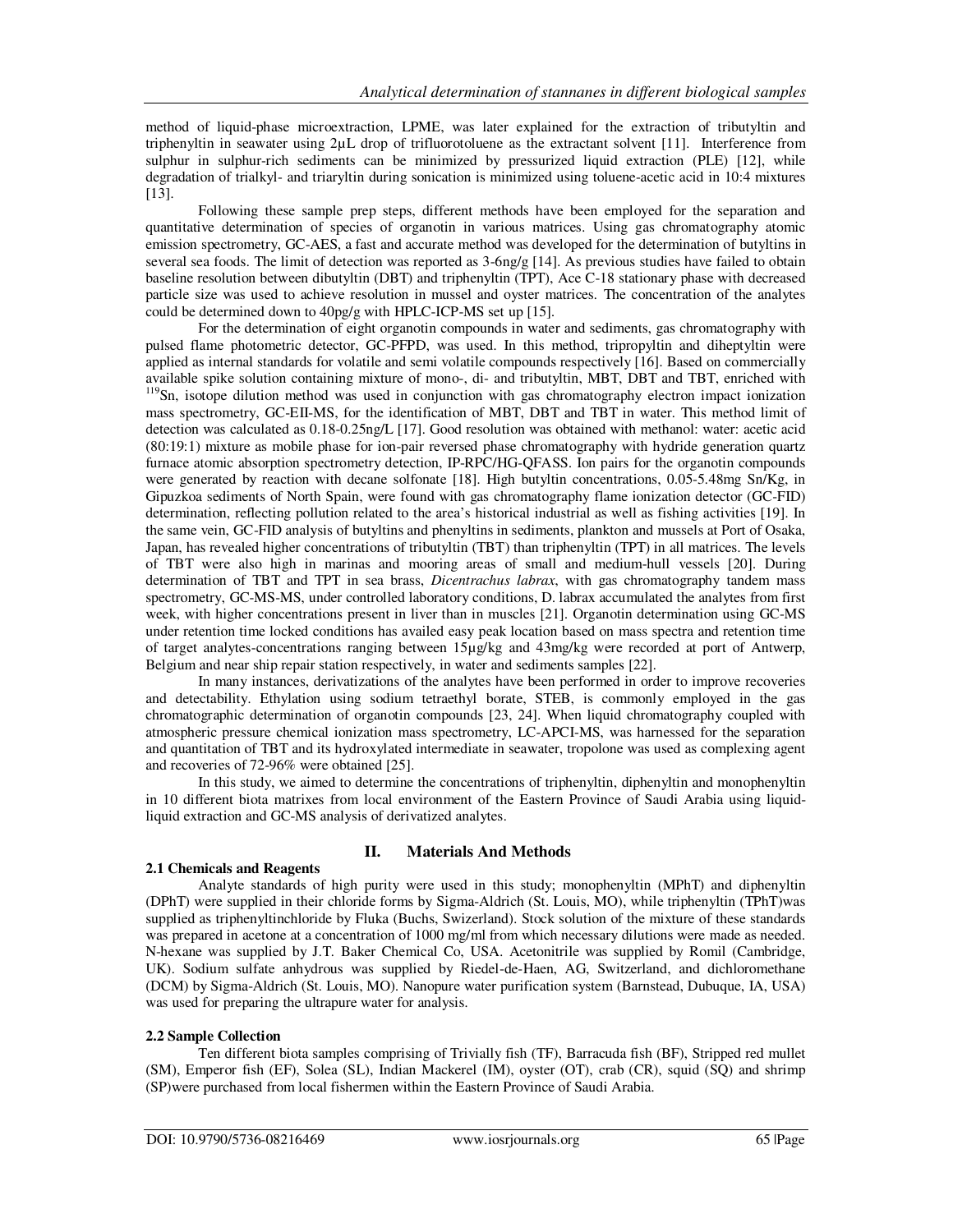method of liquid-phase microextraction, LPME, was later explained for the extraction of tributyltin and triphenyltin in seawater using 2µL drop of trifluorotoluene as the extractant solvent [11]. Interference from sulphur in sulphur-rich sediments can be minimized by pressurized liquid extraction (PLE) [12], while degradation of trialkyl- and triaryltin during sonication is minimized using toluene-acetic acid in 10:4 mixtures [13].

Following these sample prep steps, different methods have been employed for the separation and quantitative determination of species of organotin in various matrices. Using gas chromatography atomic emission spectrometry, GC-AES, a fast and accurate method was developed for the determination of butyltins in several sea foods. The limit of detection was reported as  $3-6ng/g$  [14]. As previous studies have failed to obtain baseline resolution between dibutyltin (DBT) and triphenyltin (TPT), Ace C-18 stationary phase with decreased particle size was used to achieve resolution in mussel and oyster matrices. The concentration of the analytes could be determined down to 40pg/g with HPLC-ICP-MS set up [15].

For the determination of eight organotin compounds in water and sediments, gas chromatography with pulsed flame photometric detector, GC-PFPD, was used. In this method, tripropyltin and diheptyltin were applied as internal standards for volatile and semi volatile compounds respectively [16]. Based on commercially available spike solution containing mixture of mono-, di- and tributyltin, MBT, DBT and TBT, enriched with <sup>119</sup>Sn, isotope dilution method was used in conjunction with gas chromatography electron impact ionization mass spectrometry, GC-EII-MS, for the identification of MBT, DBT and TBT in water. This method limit of detection was calculated as 0.18-0.25ng/L [17]. Good resolution was obtained with methanol: water: acetic acid (80:19:1) mixture as mobile phase for ion-pair reversed phase chromatography with hydride generation quartz furnace atomic absorption spectrometry detection, IP-RPC/HG-QFASS. Ion pairs for the organotin compounds were generated by reaction with decane solfonate [18]. High butyltin concentrations, 0.05-5.48mg Sn/Kg, in Gipuzkoa sediments of North Spain, were found with gas chromatography flame ionization detector (GC-FID) determination, reflecting pollution related to the area's historical industrial as well as fishing activities [19]. In the same vein, GC-FID analysis of butyltins and phenyltins in sediments, plankton and mussels at Port of Osaka, Japan, has revealed higher concentrations of tributyltin (TBT) than triphenyltin (TPT) in all matrices. The levels of TBT were also high in marinas and mooring areas of small and medium-hull vessels [20]. During determination of TBT and TPT in sea brass, *Dicentrachus labrax*, with gas chromatography tandem mass spectrometry, GC-MS-MS, under controlled laboratory conditions, D. labrax accumulated the analytes from first week, with higher concentrations present in liver than in muscles [21]. Organotin determination using GC-MS under retention time locked conditions has availed easy peak location based on mass spectra and retention time of target analytes-concentrations ranging between 15µg/kg and 43mg/kg were recorded at port of Antwerp, Belgium and near ship repair station respectively, in water and sediments samples [22].

In many instances, derivatizations of the analytes have been performed in order to improve recoveries and detectability. Ethylation using sodium tetraethyl borate, STEB, is commonly employed in the gas chromatographic determination of organotin compounds [23, 24]. When liquid chromatography coupled with atmospheric pressure chemical ionization mass spectrometry, LC-APCI-MS, was harnessed for the separation and quantitation of TBT and its hydroxylated intermediate in seawater, tropolone was used as complexing agent and recoveries of 72-96% were obtained [25].

In this study, we aimed to determine the concentrations of triphenyltin, diphenyltin and monophenyltin in 10 different biota matrixes from local environment of the Eastern Province of Saudi Arabia using liquidliquid extraction and GC-MS analysis of derivatized analytes.

## **2.1 Chemicals and Reagents**

## **II. Materials And Methods**

Analyte standards of high purity were used in this study; monophenyltin (MPhT) and diphenyltin (DPhT) were supplied in their chloride forms by Sigma-Aldrich (St. Louis, MO), while triphenyltin (TPhT)was supplied as triphenyltinchloride by Fluka (Buchs, Swizerland). Stock solution of the mixture of these standards was prepared in acetone at a concentration of 1000 mg/ml from which necessary dilutions were made as needed. N-hexane was supplied by J.T. Baker Chemical Co, USA. Acetonitrile was supplied by Romil (Cambridge, UK). Sodium sulfate anhydrous was supplied by Riedel-de-Haen, AG, Switzerland, and dichloromethane (DCM) by Sigma-Aldrich (St. Louis, MO). Nanopure water purification system (Barnstead, Dubuque, IA, USA) was used for preparing the ultrapure water for analysis.

### **2.2 Sample Collection**

Ten different biota samples comprising of Trivially fish (TF), Barracuda fish (BF), Stripped red mullet (SM), Emperor fish (EF), Solea (SL), Indian Mackerel (IM), oyster (OT), crab (CR), squid (SQ) and shrimp (SP)were purchased from local fishermen within the Eastern Province of Saudi Arabia.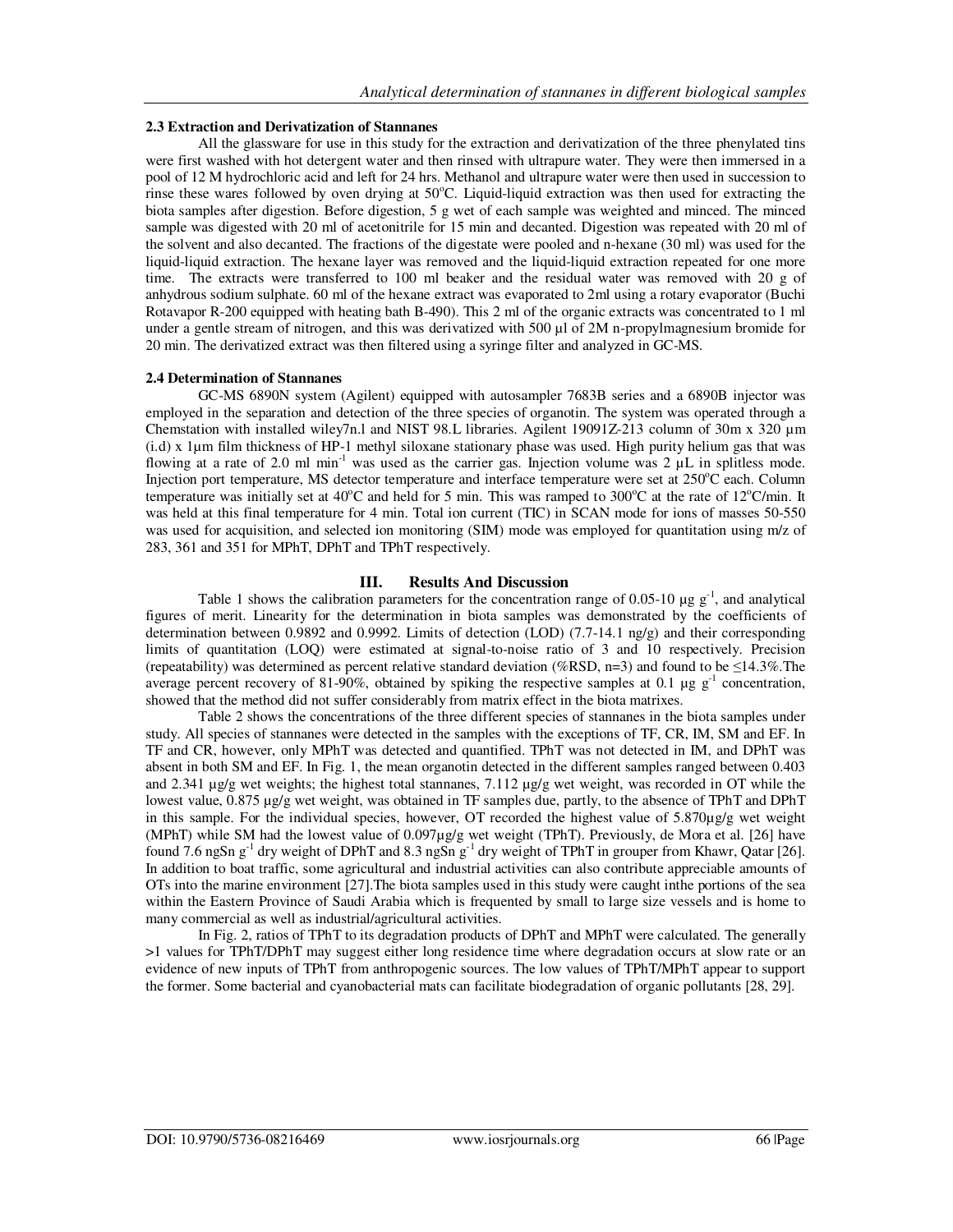#### **2.3 Extraction and Derivatization of Stannanes**

All the glassware for use in this study for the extraction and derivatization of the three phenylated tins were first washed with hot detergent water and then rinsed with ultrapure water. They were then immersed in a pool of 12 M hydrochloric acid and left for 24 hrs. Methanol and ultrapure water were then used in succession to rinse these wares followed by oven drying at  $50^{\circ}$ C. Liquid-liquid extraction was then used for extracting the biota samples after digestion. Before digestion, 5 g wet of each sample was weighted and minced. The minced sample was digested with 20 ml of acetonitrile for 15 min and decanted. Digestion was repeated with 20 ml of the solvent and also decanted. The fractions of the digestate were pooled and n-hexane (30 ml) was used for the liquid-liquid extraction. The hexane layer was removed and the liquid-liquid extraction repeated for one more time. The extracts were transferred to 100 ml beaker and the residual water was removed with 20 g of anhydrous sodium sulphate. 60 ml of the hexane extract was evaporated to 2ml using a rotary evaporator (Buchi Rotavapor R-200 equipped with heating bath B-490). This 2 ml of the organic extracts was concentrated to 1 ml under a gentle stream of nitrogen, and this was derivatized with 500 ul of 2M n-propylmagnesium bromide for 20 min. The derivatized extract was then filtered using a syringe filter and analyzed in GC-MS.

#### **2.4 Determination of Stannanes**

GC-MS 6890N system (Agilent) equipped with autosampler 7683B series and a 6890B injector was employed in the separation and detection of the three species of organotin. The system was operated through a Chemstation with installed wiley7n.l and NIST 98.L libraries. Agilent 19091Z-213 column of 30m x 320 µm (i.d) x 1µm film thickness of HP-1 methyl siloxane stationary phase was used. High purity helium gas that was flowing at a rate of 2.0 ml min<sup>-1</sup> was used as the carrier gas. Injection volume was  $2 \mu L$  in splitless mode. Injection port temperature, MS detector temperature and interface temperature were set at  $250^{\circ}$ C each. Column temperature was initially set at  $40^{\circ}$ C and held for 5 min. This was ramped to  $300^{\circ}$ C at the rate of  $12^{\circ}$ C/min. It was held at this final temperature for 4 min. Total ion current (TIC) in SCAN mode for ions of masses 50-550 was used for acquisition, and selected ion monitoring (SIM) mode was employed for quantitation using m/z of 283, 361 and 351 for MPhT, DPhT and TPhT respectively.

#### **III. Results And Discussion**

Table 1 shows the calibration parameters for the concentration range of 0.05-10  $\mu$ g g<sup>-1</sup>, and analytical figures of merit. Linearity for the determination in biota samples was demonstrated by the coefficients of determination between 0.9892 and 0.9992. Limits of detection (LOD) (7.7-14.1 ng/g) and their corresponding limits of quantitation (LOQ) were estimated at signal-to-noise ratio of 3 and 10 respectively. Precision (repeatability) was determined as percent relative standard deviation (%RSD, n=3) and found to be ≤14.3%.The average percent recovery of 81-90%, obtained by spiking the respective samples at 0.1  $\mu$ g g<sup>-1</sup> concentration, showed that the method did not suffer considerably from matrix effect in the biota matrixes.

Table 2 shows the concentrations of the three different species of stannanes in the biota samples under study. All species of stannanes were detected in the samples with the exceptions of TF, CR, IM, SM and EF. In TF and CR, however, only MPhT was detected and quantified. TPhT was not detected in IM, and DPhT was absent in both SM and EF. In Fig. 1, the mean organotin detected in the different samples ranged between 0.403 and 2.341  $\mu$ g/g wet weights; the highest total stannanes, 7.112  $\mu$ g/g wet weight, was recorded in OT while the lowest value, 0.875 µg/g wet weight, was obtained in TF samples due, partly, to the absence of TPhT and DPhT in this sample. For the individual species, however, OT recorded the highest value of 5.870µg/g wet weight (MPhT) while SM had the lowest value of 0.097µg/g wet weight (TPhT). Previously, de Mora et al. [26] have found 7.6 ngSn  $g^{-1}$  dry weight of DPhT and 8.3 ngSn  $g^{-1}$  dry weight of TPhT in grouper from Khawr, Qatar [26]. In addition to boat traffic, some agricultural and industrial activities can also contribute appreciable amounts of OTs into the marine environment [27].The biota samples used in this study were caught inthe portions of the sea within the Eastern Province of Saudi Arabia which is frequented by small to large size vessels and is home to many commercial as well as industrial/agricultural activities.

In Fig. 2, ratios of TPhT to its degradation products of DPhT and MPhT were calculated. The generally >1 values for TPhT/DPhT may suggest either long residence time where degradation occurs at slow rate or an evidence of new inputs of TPhT from anthropogenic sources. The low values of TPhT/MPhT appear to support the former. Some bacterial and cyanobacterial mats can facilitate biodegradation of organic pollutants [28, 29].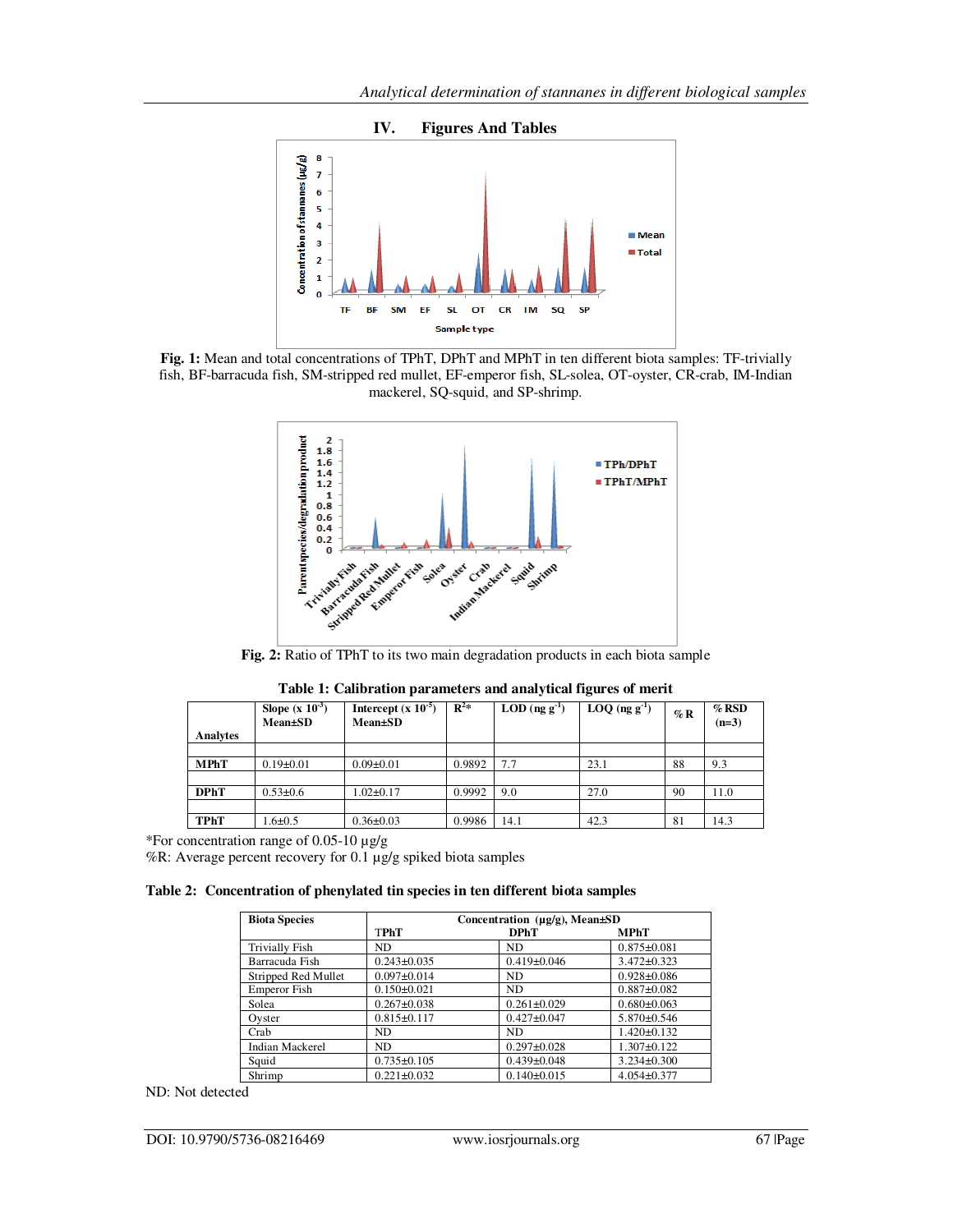

**Fig. 1:** Mean and total concentrations of TPhT, DPhT and MPhT in ten different biota samples: TF-trivially fish, BF-barracuda fish, SM-stripped red mullet, EF-emperor fish, SL-solea, OT-oyster, CR-crab, IM-Indian mackerel, SQ-squid, and SP-shrimp.



**Fig. 2:** Ratio of TPhT to its two main degradation products in each biota sample

| <b>Analytes</b> | <b>Slope</b> (x $10^{-3}$ )<br><b>Mean</b> ±SD | Intercept $(x 10^{-5})$<br><b>Mean</b> ±SD | $\mathbf{R}^2$ * | $\text{LOD}$ (ng g <sup>-1</sup> ) | $LOQ$ (ng g <sup>-1</sup> ) | $\%$ R | $%$ RSD<br>$(n=3)$ |
|-----------------|------------------------------------------------|--------------------------------------------|------------------|------------------------------------|-----------------------------|--------|--------------------|
|                 |                                                |                                            |                  |                                    |                             |        |                    |
| <b>MPhT</b>     | $0.19 \pm 0.01$                                | $0.09 \pm 0.01$                            | 0.9892           | 7.7                                | 23.1                        | 88     | 9.3                |
| <b>DPhT</b>     | $0.53 \pm 0.6$                                 | $.02 \pm 0.17$                             | 0.9992           | 9.0                                | 27.0                        | 90     | 11.0               |
|                 |                                                |                                            |                  |                                    |                             |        |                    |
| <b>TPhT</b>     | $.6{\pm}0.5$                                   | $0.36 \pm 0.03$                            | 0.9986           | 14.1                               | 42.3                        | 81     | 14.3               |

| Table 1: Calibration parameters and analytical figures of merit |  |  |  |
|-----------------------------------------------------------------|--|--|--|
|-----------------------------------------------------------------|--|--|--|

\*For concentration range of 0.05-10  $\mu$ g/g

%R: Average percent recovery for 0.1 µg/g spiked biota samples

**Table 2: Concentration of phenylated tin species in ten different biota samples** 

| <b>Biota Species</b>   | Concentration $(\mu g/g)$ , Mean $\pm SD$ |                   |                   |  |  |
|------------------------|-------------------------------------------|-------------------|-------------------|--|--|
|                        | <b>TPhT</b>                               | <b>DPhT</b>       | <b>MPhT</b>       |  |  |
| Trivially Fish         | ND.                                       | ND.               | $0.875 \pm 0.081$ |  |  |
| Barracuda Fish         | $0.243 \pm 0.035$                         | $0.419 \pm 0.046$ | $3.472 \pm 0.323$ |  |  |
| Stripped Red Mullet    | $0.097 + 0.014$                           | ND.               | $0.928 \pm 0.086$ |  |  |
| Emperor Fish           | $0.150 \pm 0.021$                         | ND.               | $0.887 + 0.082$   |  |  |
| Solea                  | $0.267 + 0.038$                           | $0.261 \pm 0.029$ | $0.680\pm0.063$   |  |  |
| Oyster                 | $0.815 \pm 0.117$                         | $0.427 \pm 0.047$ | $5.870 \pm 0.546$ |  |  |
| Crab                   | ND.                                       | ND.               | $1.420 \pm 0.132$ |  |  |
| <b>Indian Mackerel</b> | ND.                                       | $0.297 \pm 0.028$ | $1.307 \pm 0.122$ |  |  |
| Squid                  | $0.735 \pm 0.105$                         | $0.439 \pm 0.048$ | $3.234 \pm 0.300$ |  |  |
| Shrimp                 | $0.221 \pm 0.032$                         | $0.140 \pm 0.015$ | $4.054 \pm 0.377$ |  |  |

ND: Not detected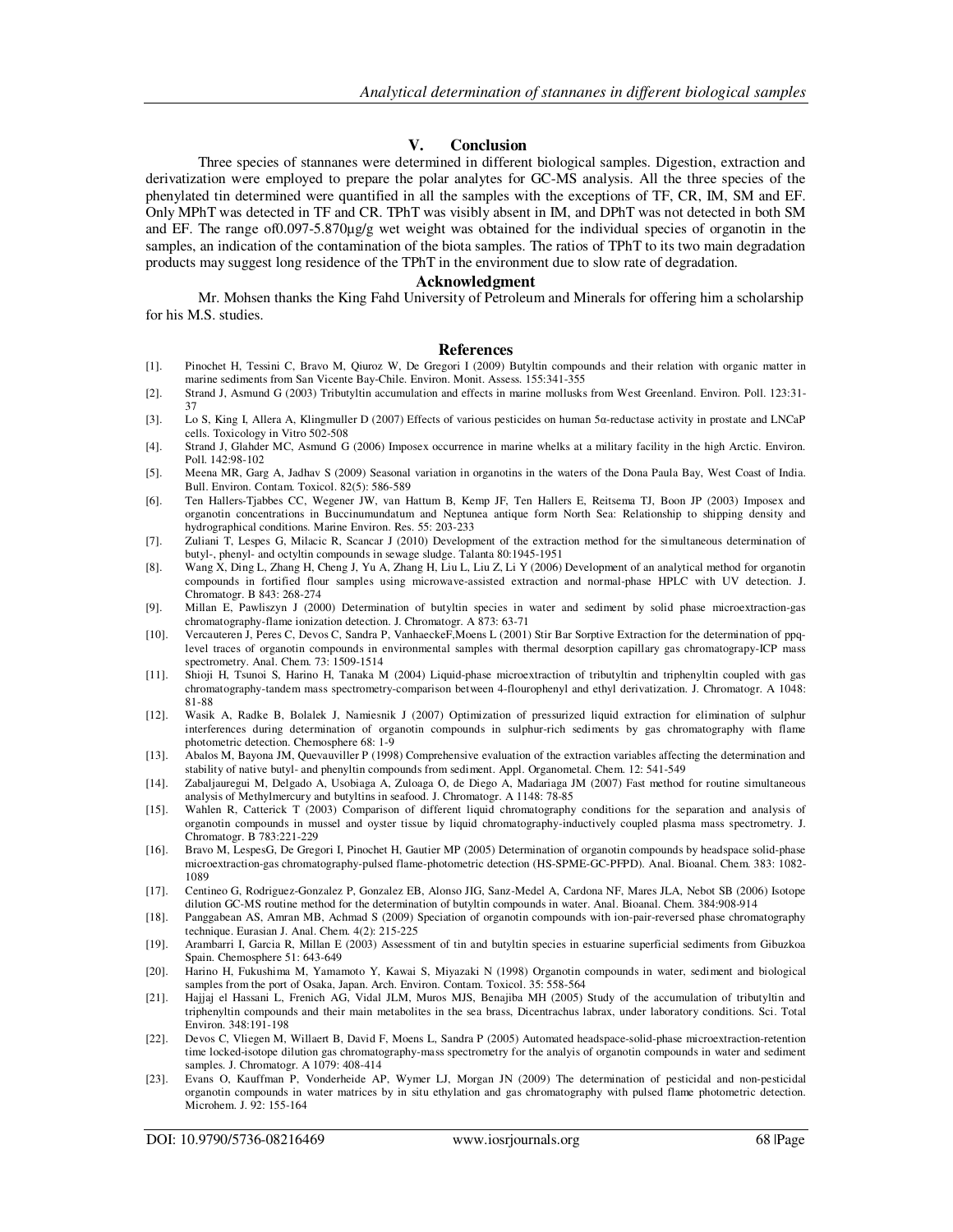### **V. Conclusion**

Three species of stannanes were determined in different biological samples. Digestion, extraction and derivatization were employed to prepare the polar analytes for GC-MS analysis. All the three species of the phenylated tin determined were quantified in all the samples with the exceptions of TF, CR, IM, SM and EF. Only MPhT was detected in TF and CR. TPhT was visibly absent in IM, and DPhT was not detected in both SM and EF. The range of0.097-5.870µg/g wet weight was obtained for the individual species of organotin in the samples, an indication of the contamination of the biota samples. The ratios of TPhT to its two main degradation products may suggest long residence of the TPhT in the environment due to slow rate of degradation.

#### **Acknowledgment**

Mr. Mohsen thanks the King Fahd University of Petroleum and Minerals for offering him a scholarship for his M.S. studies.

#### **References**

- [1]. Pinochet H, Tessini C, Bravo M, Qiuroz W, De Gregori I (2009) Butyltin compounds and their relation with organic matter in marine sediments from San Vicente Bay-Chile. Environ. Monit. Assess. 155:341-355
- [2]. Strand J, Asmund G (2003) Tributyltin accumulation and effects in marine mollusks from West Greenland. Environ. Poll. 123:31- 37
- [3]. Lo S, King I, Allera A, Klingmuller D (2007) Effects of various pesticides on human 5α-reductase activity in prostate and LNCaP cells. Toxicology in Vitro 502-508
- [4]. Strand J, Glahder MC, Asmund G (2006) Imposex occurrence in marine whelks at a military facility in the high Arctic. Environ. Poll. 142:98-102
- [5]. Meena MR, Garg A, Jadhav S (2009) Seasonal variation in organotins in the waters of the Dona Paula Bay, West Coast of India. Bull. Environ. Contam. Toxicol. 82(5): 586-589
- [6]. Ten Hallers-Tjabbes CC, Wegener JW, van Hattum B, Kemp JF, Ten Hallers E, Reitsema TJ, Boon JP (2003) Imposex and organotin concentrations in Buccinumundatum and Neptunea antique form North Sea: Relationship to shipping density and hydrographical conditions. Marine Environ. Res. 55: 203-233
- [7]. Zuliani T, Lespes G, Milacic R, Scancar J (2010) Development of the extraction method for the simultaneous determination of butyl-, phenyl- and octyltin compounds in sewage sludge. Talanta 80:1945-1951
- [8]. Wang X, Ding L, Zhang H, Cheng J, Yu A, Zhang H, Liu L, Liu Z, Li Y (2006) Development of an analytical method for organotin compounds in fortified flour samples using microwave-assisted extraction and normal-phase HPLC with UV detection. J. Chromatogr. B 843: 268-274
- [9]. Millan E, Pawliszyn J (2000) Determination of butyltin species in water and sediment by solid phase microextraction-gas chromatography-flame ionization detection. J. Chromatogr. A 873: 63-71
- [10]. Vercauteren J, Peres C, Devos C, Sandra P, VanhaeckeF,Moens L (2001) Stir Bar Sorptive Extraction for the determination of ppqlevel traces of organotin compounds in environmental samples with thermal desorption capillary gas chromatograpy-ICP mass spectrometry. Anal. Chem. 73: 1509-1514
- [11]. Shioji H, Tsunoi S, Harino H, Tanaka M (2004) Liquid-phase microextraction of tributyltin and triphenyltin coupled with gas chromatography-tandem mass spectrometry-comparison between 4-flourophenyl and ethyl derivatization. J. Chromatogr. A 1048: 81-88
- [12]. Wasik A, Radke B, Bolalek J, Namiesnik J (2007) Optimization of pressurized liquid extraction for elimination of sulphur interferences during determination of organotin compounds in sulphur-rich sediments by gas chromatography with flame photometric detection. Chemosphere 68: 1-9
- [13]. Abalos M, Bayona JM, Quevauviller P (1998) Comprehensive evaluation of the extraction variables affecting the determination and stability of native butyl- and phenyltin compounds from sediment. Appl. Organometal. Chem. 12: 541-549
- [14]. Zabaljauregui M, Delgado A, Usobiaga A, Zuloaga O, de Diego A, Madariaga JM (2007) Fast method for routine simultaneous analysis of Methylmercury and butyltins in seafood. J. Chromatogr. A 1148: 78-85
- [15]. Wahlen R, Catterick T (2003) Comparison of different liquid chromatography conditions for the separation and analysis of organotin compounds in mussel and oyster tissue by liquid chromatography-inductively coupled plasma mass spectrometry. J. Chromatogr. B 783:221-229
- [16]. Bravo M, LespesG, De Gregori I, Pinochet H, Gautier MP (2005) Determination of organotin compounds by headspace solid-phase microextraction-gas chromatography-pulsed flame-photometric detection (HS-SPME-GC-PFPD). Anal. Bioanal. Chem. 383: 1082- 1089
- [17]. Centineo G, Rodriguez-Gonzalez P, Gonzalez EB, Alonso JIG, Sanz-Medel A, Cardona NF, Mares JLA, Nebot SB (2006) Isotope dilution GC-MS routine method for the determination of butyltin compounds in water. Anal. Bioanal. Chem. 384:908-914
- [18]. Panggabean AS, Amran MB, Achmad S (2009) Speciation of organotin compounds with ion-pair-reversed phase chromatography technique. Eurasian J. Anal. Chem. 4(2): 215-225
- [19]. Arambarri I, Garcia R, Millan E (2003) Assessment of tin and butyltin species in estuarine superficial sediments from Gibuzkoa Spain. Chemosphere 51: 643-649
- [20]. Harino H, Fukushima M, Yamamoto Y, Kawai S, Miyazaki N (1998) Organotin compounds in water, sediment and biological samples from the port of Osaka, Japan. Arch. Environ. Contam. Toxicol. 35: 558-564
- [21]. Hajjaj el Hassani L, Frenich AG, Vidal JLM, Muros MJS, Benajiba MH (2005) Study of the accumulation of tributyltin and triphenyltin compounds and their main metabolites in the sea brass, Dicentrachus labrax, under laboratory conditions. Sci. Total Environ. 348:191-198
- [22]. Devos C, Vliegen M, Willaert B, David F, Moens L, Sandra P (2005) Automated headspace-solid-phase microextraction-retention time locked-isotope dilution gas chromatography-mass spectrometry for the analyis of organotin compounds in water and sediment samples. J. Chromatogr. A 1079: 408-414
- [23]. Evans O, Kauffman P, Vonderheide AP, Wymer LJ, Morgan JN (2009) The determination of pesticidal and non-pesticidal organotin compounds in water matrices by in situ ethylation and gas chromatography with pulsed flame photometric detection. Microhem. J. 92: 155-164